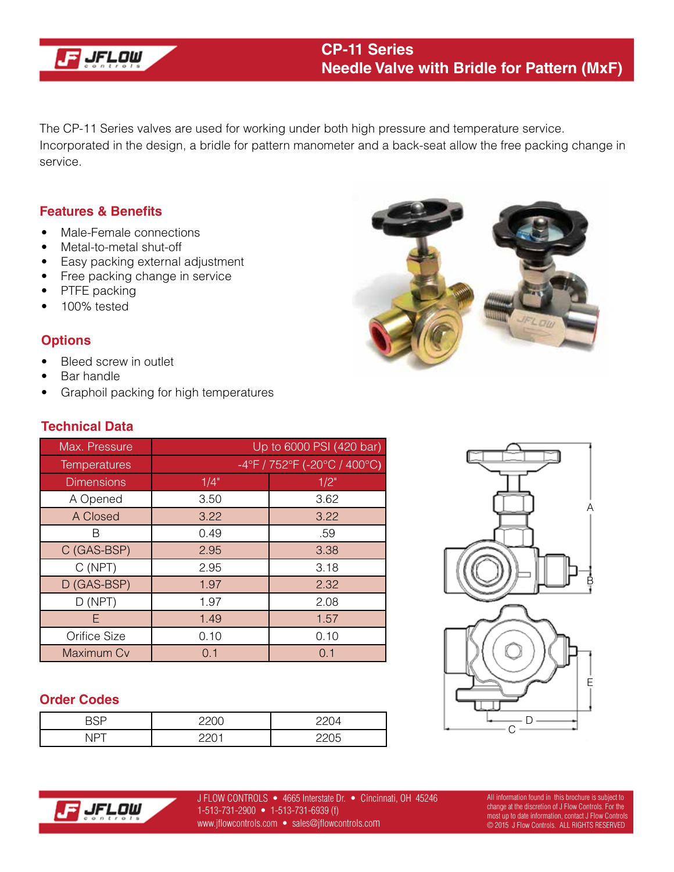

The CP-11 Series valves are used for working under both high pressure and temperature service. Incorporated in the design, a bridle for pattern manometer and a back-seat allow the free packing change in service.

#### **Features & Benefits**

- Male-Female connections
- Metal-to-metal shut-off
- Easy packing external adjustment
- Free packing change in service
- PTFE packing
- 100% tested

## **Options**

- Bleed screw in outlet
- Bar handle
- Graphoil packing for high temperatures



# **Technical Data**

| Max. Pressure     | Up to 6000 PSI (420 bar)     |         |  |  |
|-------------------|------------------------------|---------|--|--|
| Temperatures      | -4°F / 752°F (-20°C / 400°C) |         |  |  |
| <b>Dimensions</b> | 1/4"                         | $1/2$ " |  |  |
| A Opened          | 3.50                         | 3.62    |  |  |
| A Closed          | 3.22                         | 3.22    |  |  |
| R                 | 0.49                         | .59     |  |  |
| C (GAS-BSP)       | 2.95                         | 3.38    |  |  |
| C(NPT)            | 2.95                         | 3.18    |  |  |
| D (GAS-BSP)       | 1.97                         | 2.32    |  |  |
| D(NPT)            | 1.97                         | 2.08    |  |  |
| F                 | 1.49                         | 1.57    |  |  |
| Orifice Size      | 0.10                         | 0.10    |  |  |
| Maximum Cv        | 0.1                          | 0.1     |  |  |

### **Order Codes**

| . . | __<br>∼ |  |
|-----|---------|--|





J FLOW CONTROLS • 4665 Interstate Dr. • Cincinnati, OH 45246 1-513-731-2900 • 1-513-731-6939 (f) www.jflowcontrols.com • sales@jflowcontrols.com

All information found in this brochure is subject to change at the discretion of J Flow Controls. For the most up to date information, contact J Flow Controls © 2015 J Flow Controls. ALL RIGHTS RESERVED